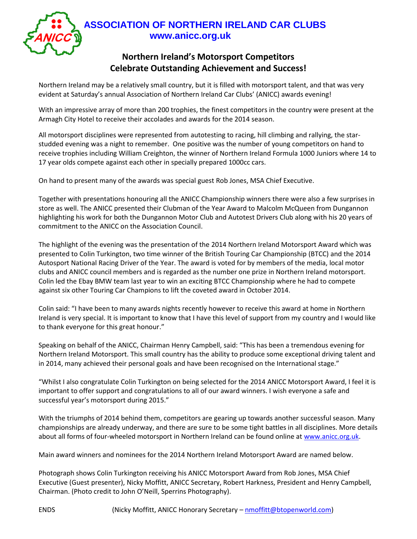

## **Northern Ireland's Motorsport Competitors Celebrate Outstanding Achievement and Success!**

Northern Ireland may be a relatively small country, but it is filled with motorsport talent, and that was very evident at Saturday's annual Association of Northern Ireland Car Clubs' (ANICC) awards evening!

With an impressive array of more than 200 trophies, the finest competitors in the country were present at the Armagh City Hotel to receive their accolades and awards for the 2014 season.

All motorsport disciplines were represented from autotesting to racing, hill climbing and rallying, the starstudded evening was a night to remember. One positive was the number of young competitors on hand to receive trophies including William Creighton, the winner of Northern Ireland Formula 1000 Juniors where 14 to 17 year olds compete against each other in specially prepared 1000cc cars.

On hand to present many of the awards was special guest Rob Jones, MSA Chief Executive.

Together with presentations honouring all the ANICC Championship winners there were also a few surprises in store as well. The ANICC presented their Clubman of the Year Award to Malcolm McQueen from Dungannon highlighting his work for both the Dungannon Motor Club and Autotest Drivers Club along with his 20 years of commitment to the ANICC on the Association Council.

The highlight of the evening was the presentation of the 2014 Northern Ireland Motorsport Award which was presented to Colin Turkington, two time winner of the British Touring Car Championship (BTCC) and the 2014 Autosport National Racing Driver of the Year. The award is voted for by members of the media, local motor clubs and ANICC council members and is regarded as the number one prize in Northern Ireland motorsport. Colin led the Ebay BMW team last year to win an exciting BTCC Championship where he had to compete against six other Touring Car Champions to lift the coveted award in October 2014.

Colin said: "I have been to many awards nights recently however to receive this award at home in Northern Ireland is very special. It is important to know that I have this level of support from my country and I would like to thank everyone for this great honour."

Speaking on behalf of the ANICC, Chairman Henry Campbell, said: "This has been a tremendous evening for Northern Ireland Motorsport. This small country has the ability to produce some exceptional driving talent and in 2014, many achieved their personal goals and have been recognised on the International stage."

"Whilst I also congratulate Colin Turkington on being selected for the 2014 ANICC Motorsport Award, I feel it is important to offer support and congratulations to all of our award winners. I wish everyone a safe and successful year's motorsport during 2015."

With the triumphs of 2014 behind them, competitors are gearing up towards another successful season. Many championships are already underway, and there are sure to be some tight battles in all disciplines. More details about all forms of four-wheeled motorsport in Northern Ireland can be found online at [www.anicc.org.uk.](http://www.anicc.org.uk/)

Main award winners and nominees for the 2014 Northern Ireland Motorsport Award are named below.

Photograph shows Colin Turkington receiving his ANICC Motorsport Award from Rob Jones, MSA Chief Executive (Guest presenter), Nicky Moffitt, ANICC Secretary, Robert Harkness, President and Henry Campbell, Chairman. (Photo credit to John O'Neill, Sperrins Photography).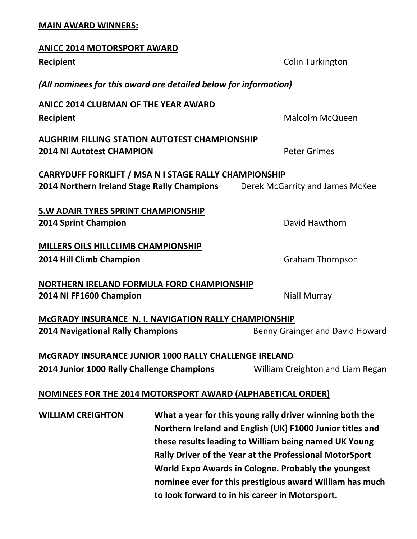## **MAIN AWARD WINNERS:**

| <b>ANICC 2014 MOTORSPORT AWARD</b>                                                   |                                  |  |
|--------------------------------------------------------------------------------------|----------------------------------|--|
| <b>Recipient</b>                                                                     | Colin Turkington                 |  |
| (All nominees for this award are detailed below for information)                     |                                  |  |
| <b>ANICC 2014 CLUBMAN OF THE YEAR AWARD</b>                                          |                                  |  |
| <b>Recipient</b>                                                                     | Malcolm McQueen                  |  |
| <b>AUGHRIM FILLING STATION AUTOTEST CHAMPIONSHIP</b>                                 |                                  |  |
| <b>2014 NI Autotest CHAMPION</b>                                                     | <b>Peter Grimes</b>              |  |
| <b>CARRYDUFF FORKLIFT / MSA N I STAGE RALLY CHAMPIONSHIP</b>                         |                                  |  |
| 2014 Northern Ireland Stage Rally Champions                                          | Derek McGarrity and James McKee  |  |
|                                                                                      |                                  |  |
| <b>S.W ADAIR TYRES SPRINT CHAMPIONSHIP</b>                                           |                                  |  |
| <b>2014 Sprint Champion</b>                                                          | David Hawthorn                   |  |
|                                                                                      |                                  |  |
| <b>MILLERS OILS HILLCLIMB CHAMPIONSHIP</b>                                           |                                  |  |
| 2014 Hill Climb Champion                                                             | <b>Graham Thompson</b>           |  |
|                                                                                      |                                  |  |
| NORTHERN IRELAND FORMULA FORD CHAMPIONSHIP<br>2014 NI FF1600 Champion                | <b>Niall Murray</b>              |  |
|                                                                                      |                                  |  |
| <b>MCGRADY INSURANCE N. I. NAVIGATION RALLY CHAMPIONSHIP</b>                         |                                  |  |
| <b>2014 Navigational Rally Champions</b>                                             | Benny Grainger and David Howard  |  |
|                                                                                      |                                  |  |
| MCGRADY INSURANCE JUNIOR 1000 RALLY CHALLENGE IRELAND                                |                                  |  |
| 2014 Junior 1000 Rally Challenge Champions                                           | William Creighton and Liam Regan |  |
|                                                                                      |                                  |  |
| NOMINEES FOR THE 2014 MOTORSPORT AWARD (ALPHABETICAL ORDER)                          |                                  |  |
| What a year for this young rally driver winning both the<br><b>WILLIAM CREIGHTON</b> |                                  |  |
| Northern Ireland and English (UK) F1000 Junior titles and                            |                                  |  |

**Northern Ireland and English (UK) F1000 Junior titles and these results leading to William being named UK Young Rally Driver of the Year at the Professional MotorSport World Expo Awards in Cologne. Probably the youngest nominee ever for this prestigious award William has much to look forward to in his career in Motorsport.**